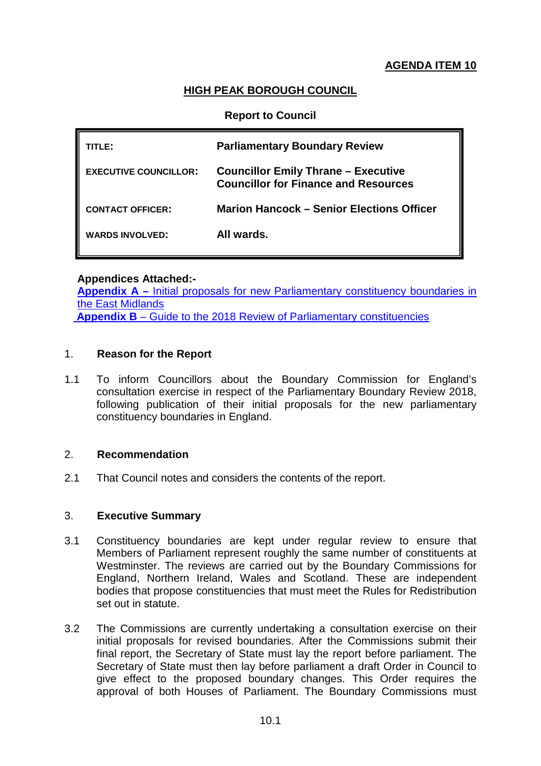# **AGENDA ITEM 10**

# **HIGH PEAK BOROUGH COUNCIL**

### **Report to Council**

| TITL F:                      | <b>Parliamentary Boundary Review</b>                                                      |
|------------------------------|-------------------------------------------------------------------------------------------|
| <b>EXECUTIVE COUNCILLOR:</b> | <b>Councillor Emily Thrane - Executive</b><br><b>Councillor for Finance and Resources</b> |
| <b>CONTACT OFFICER:</b>      | Marion Hancock – Senior Elections Officer                                                 |
| <b>WARDS INVOLVED:</b>       | All wards.                                                                                |

#### **Appendices Attached:-**

Appendix A – Initial proposals for new Parliamentary constituency boundaries in [the East Midlands](https://www.bce2018.org.uk/node/6483) **Appendix B** – [Guide to the 2018 Review of Parliamentary constituencies](http://boundarycommissionforengland.independent.gov.uk/wp-content/uploads/2016/07/2016-07-11-Guide-to-2018-review-Final-Version.pdf)

#### 1. **Reason for the Report**

1.1 To inform Councillors about the Boundary Commission for England's consultation exercise in respect of the Parliamentary Boundary Review 2018, following publication of their initial proposals for the new parliamentary constituency boundaries in England.

# 2. **Recommendation**

2.1 That Council notes and considers the contents of the report.

### 3. **Executive Summary**

- 3.1 Constituency boundaries are kept under regular review to ensure that Members of Parliament represent roughly the same number of constituents at Westminster. The reviews are carried out by the Boundary Commissions for England, Northern Ireland, Wales and Scotland. These are independent bodies that propose constituencies that must meet the Rules for Redistribution set out in statute.
- 3.2 The Commissions are currently undertaking a consultation exercise on their initial proposals for revised boundaries. After the Commissions submit their final report, the Secretary of State must lay the report before parliament. The Secretary of State must then lay before parliament a draft Order in Council to give effect to the proposed boundary changes. This Order requires the approval of both Houses of Parliament. The Boundary Commissions must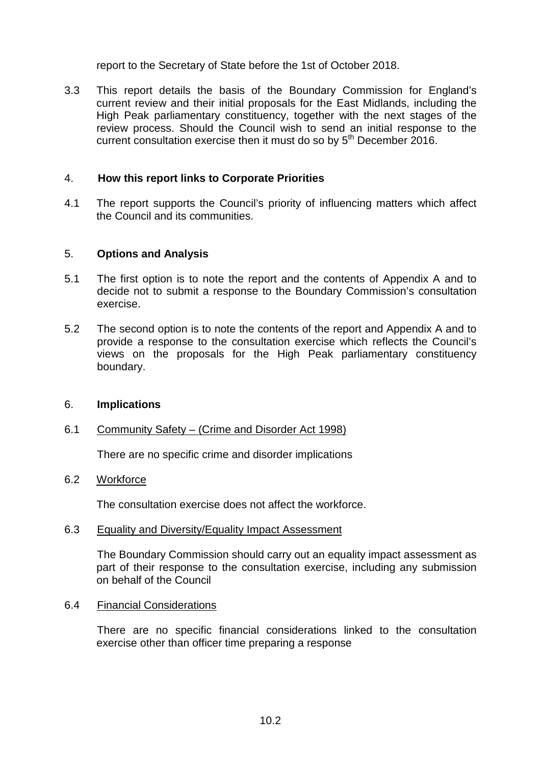report to the Secretary of State before the 1st of October 2018.

3.3 This report details the basis of the Boundary Commission for England's current review and their initial proposals for the East Midlands, including the High Peak parliamentary constituency, together with the next stages of the review process. Should the Council wish to send an initial response to the current consultation exercise then it must do so by  $5<sup>th</sup>$  December 2016.

### 4. **How this report links to Corporate Priorities**

4.1 The report supports the Council's priority of influencing matters which affect the Council and its communities.

#### 5. **Options and Analysis**

- 5.1 The first option is to note the report and the contents of Appendix A and to decide not to submit a response to the Boundary Commission's consultation exercise.
- 5.2 The second option is to note the contents of the report and Appendix A and to provide a response to the consultation exercise which reflects the Council's views on the proposals for the High Peak parliamentary constituency boundary.

#### 6. **Implications**

#### 6.1 Community Safety – (Crime and Disorder Act 1998)

There are no specific crime and disorder implications

### 6.2 Workforce

The consultation exercise does not affect the workforce.

#### 6.3 Equality and Diversity/Equality Impact Assessment

The Boundary Commission should carry out an equality impact assessment as part of their response to the consultation exercise, including any submission on behalf of the Council

#### 6.4 Financial Considerations

There are no specific financial considerations linked to the consultation exercise other than officer time preparing a response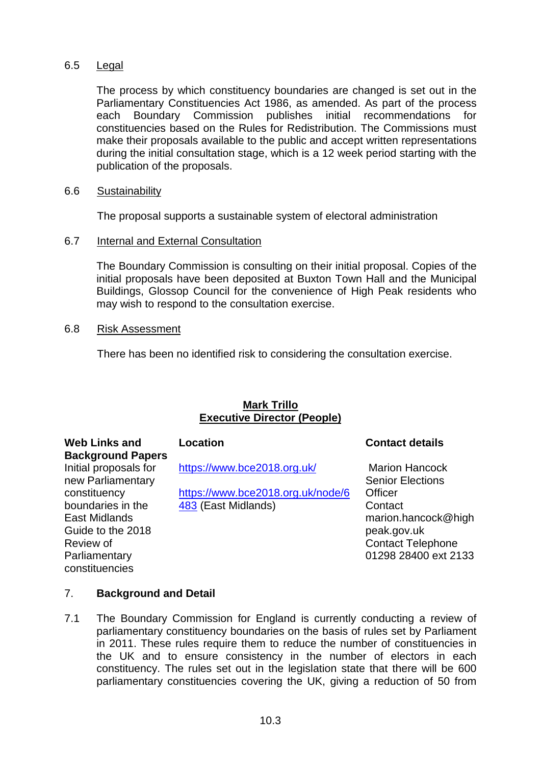# 6.5 Legal

The process by which constituency boundaries are changed is set out in the Parliamentary Constituencies Act 1986, as amended. As part of the process each Boundary Commission publishes initial recommendations for constituencies based on the Rules for Redistribution. The Commissions must make their proposals available to the public and accept written representations during the initial consultation stage, which is a 12 week period starting with the publication of the proposals.

### 6.6 Sustainability

The proposal supports a sustainable system of electoral administration

## 6.7 Internal and External Consultation

The Boundary Commission is consulting on their initial proposal. Copies of the initial proposals have been deposited at Buxton Town Hall and the Municipal Buildings, Glossop Council for the convenience of High Peak residents who may wish to respond to the consultation exercise.

## 6.8 Risk Assessment

There has been no identified risk to considering the consultation exercise.

# **Mark Trillo Executive Director (People)**

| Web Links and            |  |
|--------------------------|--|
| <b>Background Papers</b> |  |
| Initial proposals for    |  |
| new Parliamentary        |  |
| constituency             |  |
| boundaries in the        |  |
| East Midlands            |  |
| Guide to the 2018        |  |
| Review of                |  |
| Parliamentary            |  |
| constituencies           |  |
|                          |  |

<https://www.bce2018.org.uk/>

[https://www.bce2018.org.uk/node/6](https://www.bce2018.org.uk/node/6483) [483](https://www.bce2018.org.uk/node/6483) (East Midlands)

# **Location Contact details**

Marion Hancock Senior Elections **Officer Contact** marion.hancock@high peak.gov.uk Contact Telephone 01298 28400 ext 2133

# 7. **Background and Detail**

7.1 The Boundary Commission for England is currently conducting a review of parliamentary constituency boundaries on the basis of rules set by Parliament in 2011. These rules require them to reduce the number of constituencies in the UK and to ensure consistency in the number of electors in each constituency. The rules set out in the legislation state that there will be 600 parliamentary constituencies covering the UK, giving a reduction of 50 from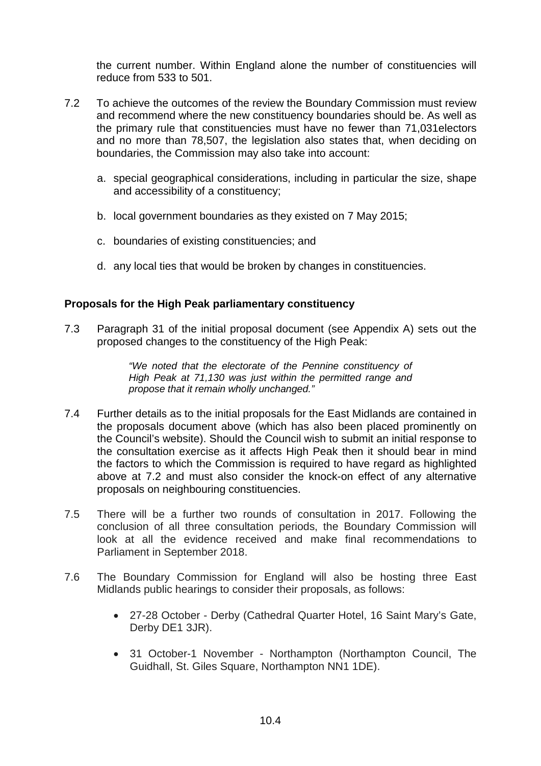the current number. Within England alone the number of constituencies will reduce from 533 to 501.

- 7.2 To achieve the outcomes of the review the Boundary Commission must review and recommend where the new constituency boundaries should be. As well as the primary rule that constituencies must have no fewer than 71,031electors and no more than 78,507, the legislation also states that, when deciding on boundaries, the Commission may also take into account:
	- a. special geographical considerations, including in particular the size, shape and accessibility of a constituency;
	- b. local government boundaries as they existed on 7 May 2015;
	- c. boundaries of existing constituencies; and
	- d. any local ties that would be broken by changes in constituencies.

#### **Proposals for the High Peak parliamentary constituency**

7.3 Paragraph 31 of the initial proposal document (see Appendix A) sets out the proposed changes to the constituency of the High Peak:

> *"We noted that the electorate of the Pennine constituency of High Peak at 71,130 was just within the permitted range and propose that it remain wholly unchanged."*

- 7.4 Further details as to the initial proposals for the East Midlands are contained in the proposals document above (which has also been placed prominently on the Council's website). Should the Council wish to submit an initial response to the consultation exercise as it affects High Peak then it should bear in mind the factors to which the Commission is required to have regard as highlighted above at 7.2 and must also consider the knock-on effect of any alternative proposals on neighbouring constituencies.
- 7.5 There will be a further two rounds of consultation in 2017. Following the conclusion of all three consultation periods, the Boundary Commission will look at all the evidence received and make final recommendations to Parliament in September 2018.
- 7.6 The Boundary Commission for England will also be hosting three East Midlands public hearings to consider their proposals, as follows:
	- 27-28 October Derby (Cathedral Quarter Hotel, 16 Saint Mary's Gate, Derby DE1 3JR).
	- 31 October-1 November Northampton (Northampton Council, The Guidhall, St. Giles Square, Northampton NN1 1DE).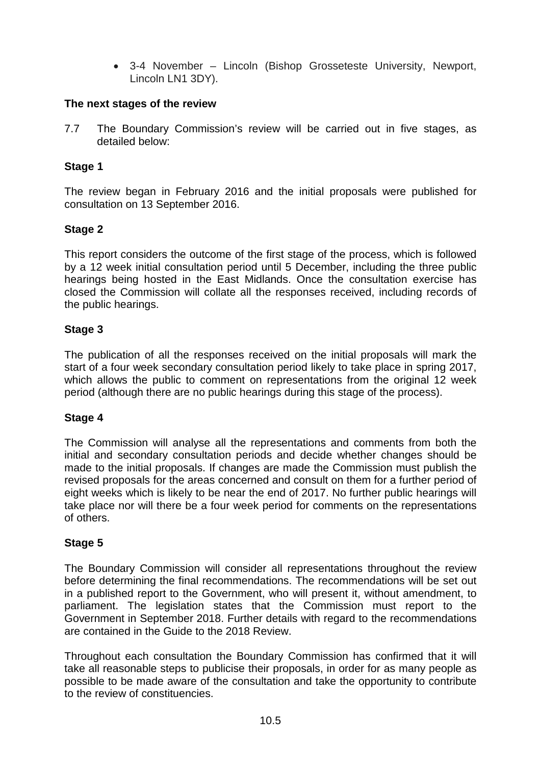• 3-4 November – Lincoln (Bishop Grosseteste University, Newport, Lincoln LN1 3DY).

# **The next stages of the review**

7.7 The Boundary Commission's review will be carried out in five stages, as detailed below:

# **Stage 1**

The review began in February 2016 and the initial proposals were published for consultation on 13 September 2016.

## **Stage 2**

This report considers the outcome of the first stage of the process, which is followed by a 12 week initial consultation period until 5 December, including the three public hearings being hosted in the East Midlands. Once the consultation exercise has closed the Commission will collate all the responses received, including records of the public hearings.

## **Stage 3**

The publication of all the responses received on the initial proposals will mark the start of a four week secondary consultation period likely to take place in spring 2017, which allows the public to comment on representations from the original 12 week period (although there are no public hearings during this stage of the process).

# **Stage 4**

The Commission will analyse all the representations and comments from both the initial and secondary consultation periods and decide whether changes should be made to the initial proposals. If changes are made the Commission must publish the revised proposals for the areas concerned and consult on them for a further period of eight weeks which is likely to be near the end of 2017. No further public hearings will take place nor will there be a four week period for comments on the representations of others.

# **Stage 5**

The Boundary Commission will consider all representations throughout the review before determining the final recommendations. The recommendations will be set out in a published report to the Government, who will present it, without amendment, to parliament. The legislation states that the Commission must report to the Government in September 2018. Further details with regard to the recommendations are contained in the Guide to the 2018 Review.

Throughout each consultation the Boundary Commission has confirmed that it will take all reasonable steps to publicise their proposals, in order for as many people as possible to be made aware of the consultation and take the opportunity to contribute to the review of constituencies.